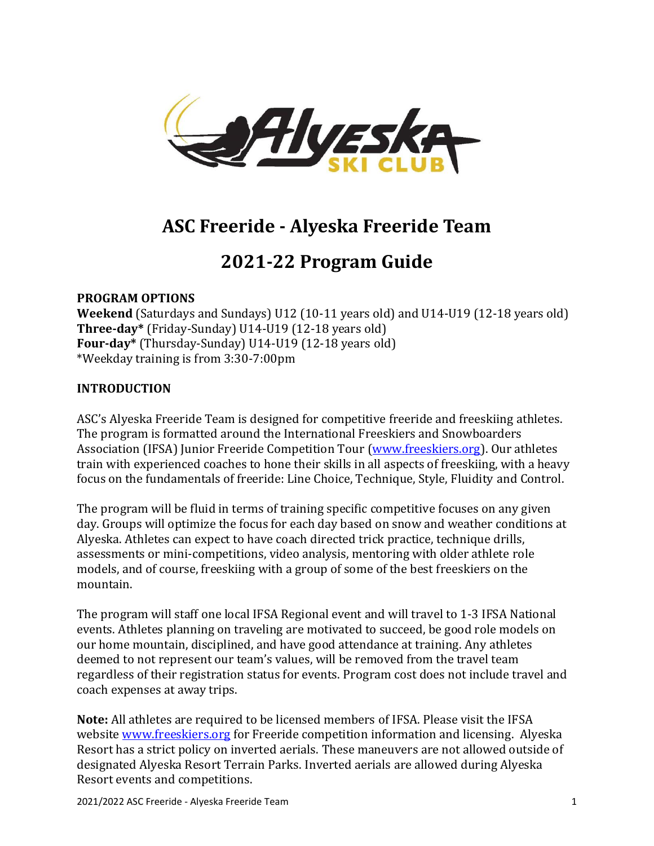

# **ASC Freeride - Alyeska Freeride Team**

## **2021-22 Program Guide**

## **PROGRAM OPTIONS**

**Weekend** (Saturdays and Sundays) U12 (10-11 years old) and U14-U19 (12-18 years old) **Three-day\*** (Friday-Sunday) U14-U19 (12-18 years old) **Four-day\*** (Thursday-Sunday) U14-U19 (12-18 years old) \*Weekday training is from 3:30-7:00pm

## **INTRODUCTION**

ASC's Alyeska Freeride Team is designed for competitive freeride and freeskiing athletes. The program is formatted around the International Freeskiers and Snowboarders Association (IFSA) Junior Freeride Competition Tour [\(www.freeskiers.org\)](http://www.freeskiers.org/). Our athletes train with experienced coaches to hone their skills in all aspects of freeskiing, with a heavy focus on the fundamentals of freeride: Line Choice, Technique, Style, Fluidity and Control.

The program will be fluid in terms of training specific competitive focuses on any given day. Groups will optimize the focus for each day based on snow and weather conditions at Alyeska. Athletes can expect to have coach directed trick practice, technique drills, assessments or mini-competitions, video analysis, mentoring with older athlete role models, and of course, freeskiing with a group of some of the best freeskiers on the mountain.

The program will staff one local IFSA Regional event and will travel to 1-3 IFSA National events. Athletes planning on traveling are motivated to succeed, be good role models on our home mountain, disciplined, and have good attendance at training. Any athletes deemed to not represent our team's values, will be removed from the travel team regardless of their registration status for events. Program cost does not include travel and coach expenses at away trips.

**Note:** All athletes are required to be licensed members of IFSA. Please visit the IFSA website [www.freeskiers.org](http://www.freeskiers.org/) for Freeride competition information and licensing. Alyeska Resort has a strict policy on inverted aerials. These maneuvers are not allowed outside of designated Alyeska Resort Terrain Parks. Inverted aerials are allowed during Alyeska Resort events and competitions.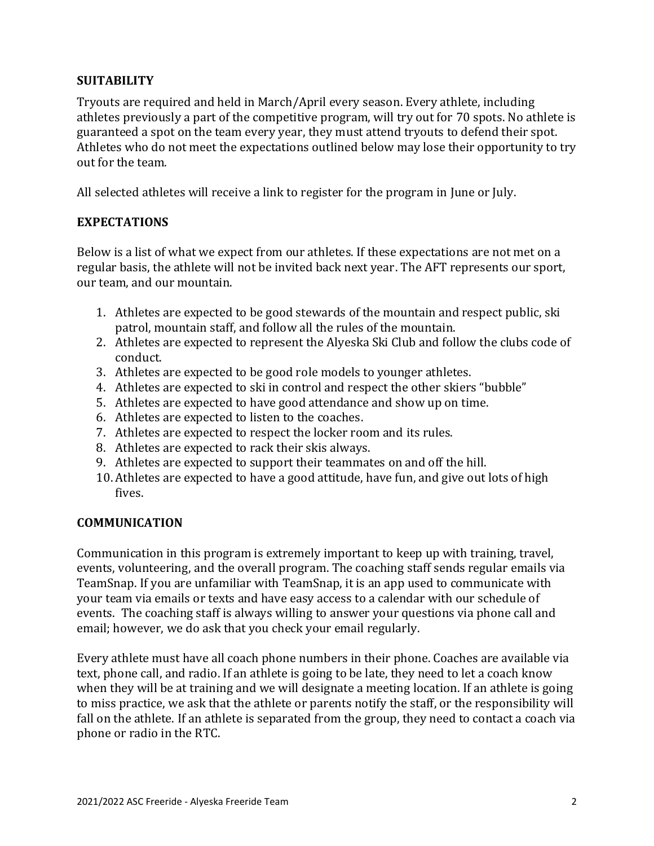## **SUITABILITY**

Tryouts are required and held in March/April every season. Every athlete, including athletes previously a part of the competitive program, will try out for 70 spots. No athlete is guaranteed a spot on the team every year, they must attend tryouts to defend their spot. Athletes who do not meet the expectations outlined below may lose their opportunity to try out for the team.

All selected athletes will receive a link to register for the program in June or July.

## **EXPECTATIONS**

Below is a list of what we expect from our athletes. If these expectations are not met on a regular basis, the athlete will not be invited back next year. The AFT represents our sport, our team, and our mountain.

- 1. Athletes are expected to be good stewards of the mountain and respect public, ski patrol, mountain staff, and follow all the rules of the mountain.
- 2. Athletes are expected to represent the Alyeska Ski Club and follow the clubs code of conduct.
- 3. Athletes are expected to be good role models to younger athletes.
- 4. Athletes are expected to ski in control and respect the other skiers "bubble"
- 5. Athletes are expected to have good attendance and show up on time.
- 6. Athletes are expected to listen to the coaches.
- 7. Athletes are expected to respect the locker room and its rules.
- 8. Athletes are expected to rack their skis always.
- 9. Athletes are expected to support their teammates on and off the hill.
- 10. Athletes are expected to have a good attitude, have fun, and give out lots of high fives.

#### **COMMUNICATION**

Communication in this program is extremely important to keep up with training, travel, events, volunteering, and the overall program. The coaching staff sends regular emails via TeamSnap. If you are unfamiliar with TeamSnap, it is an app used to communicate with your team via emails or texts and have easy access to a calendar with our schedule of events. The coaching staff is always willing to answer your questions via phone call and email; however, we do ask that you check your email regularly.

Every athlete must have all coach phone numbers in their phone. Coaches are available via text, phone call, and radio. If an athlete is going to be late, they need to let a coach know when they will be at training and we will designate a meeting location. If an athlete is going to miss practice, we ask that the athlete or parents notify the staff, or the responsibility will fall on the athlete. If an athlete is separated from the group, they need to contact a coach via phone or radio in the RTC.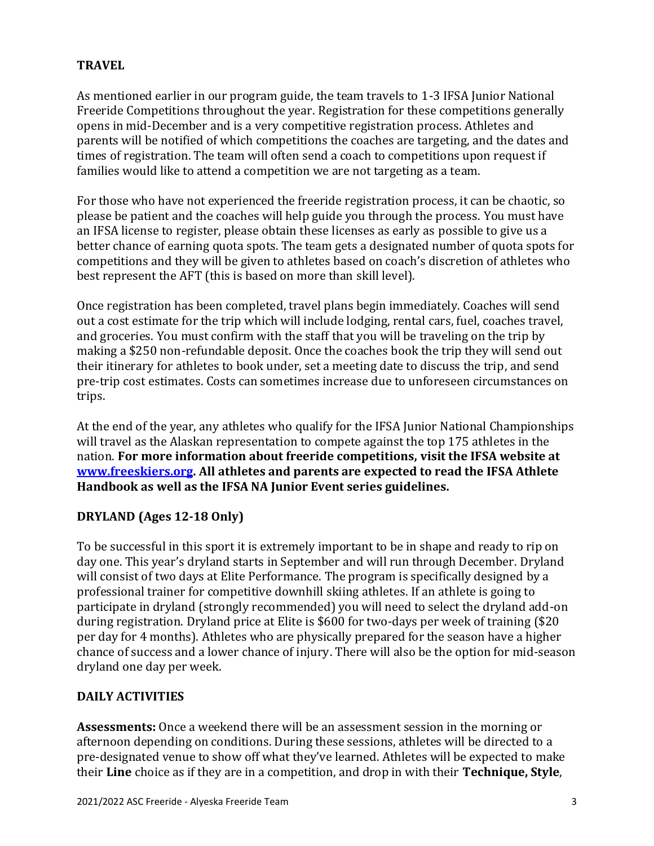## **TRAVEL**

As mentioned earlier in our program guide, the team travels to 1-3 IFSA Junior National Freeride Competitions throughout the year. Registration for these competitions generally opens in mid-December and is a very competitive registration process. Athletes and parents will be notified of which competitions the coaches are targeting, and the dates and times of registration. The team will often send a coach to competitions upon request if families would like to attend a competition we are not targeting as a team.

For those who have not experienced the freeride registration process, it can be chaotic, so please be patient and the coaches will help guide you through the process. You must have an IFSA license to register, please obtain these licenses as early as possible to give us a better chance of earning quota spots. The team gets a designated number of quota spots for competitions and they will be given to athletes based on coach's discretion of athletes who best represent the AFT (this is based on more than skill level).

Once registration has been completed, travel plans begin immediately. Coaches will send out a cost estimate for the trip which will include lodging, rental cars, fuel, coaches travel, and groceries. You must confirm with the staff that you will be traveling on the trip by making a \$250 non-refundable deposit. Once the coaches book the trip they will send out their itinerary for athletes to book under, set a meeting date to discuss the trip, and send pre-trip cost estimates. Costs can sometimes increase due to unforeseen circumstances on trips.

At the end of the year, any athletes who qualify for the IFSA Junior National Championships will travel as the Alaskan representation to compete against the top 175 athletes in the nation. **For more information about freeride competitions, visit the IFSA website at [www.freeskiers.org.](http://www.freeskiers.org/) All athletes and parents are expected to read the IFSA Athlete Handbook as well as the IFSA NA Junior Event series guidelines.** 

## **DRYLAND (Ages 12-18 Only)**

To be successful in this sport it is extremely important to be in shape and ready to rip on day one. This year's dryland starts in September and will run through December. Dryland will consist of two days at Elite Performance. The program is specifically designed by a professional trainer for competitive downhill skiing athletes. If an athlete is going to participate in dryland (strongly recommended) you will need to select the dryland add-on during registration. Dryland price at Elite is \$600 for two-days per week of training (\$20 per day for 4 months). Athletes who are physically prepared for the season have a higher chance of success and a lower chance of injury. There will also be the option for mid-season dryland one day per week.

## **DAILY ACTIVITIES**

**Assessments:** Once a weekend there will be an assessment session in the morning or afternoon depending on conditions. During these sessions, athletes will be directed to a pre-designated venue to show off what they've learned. Athletes will be expected to make their **Line** choice as if they are in a competition, and drop in with their **Technique, Style**,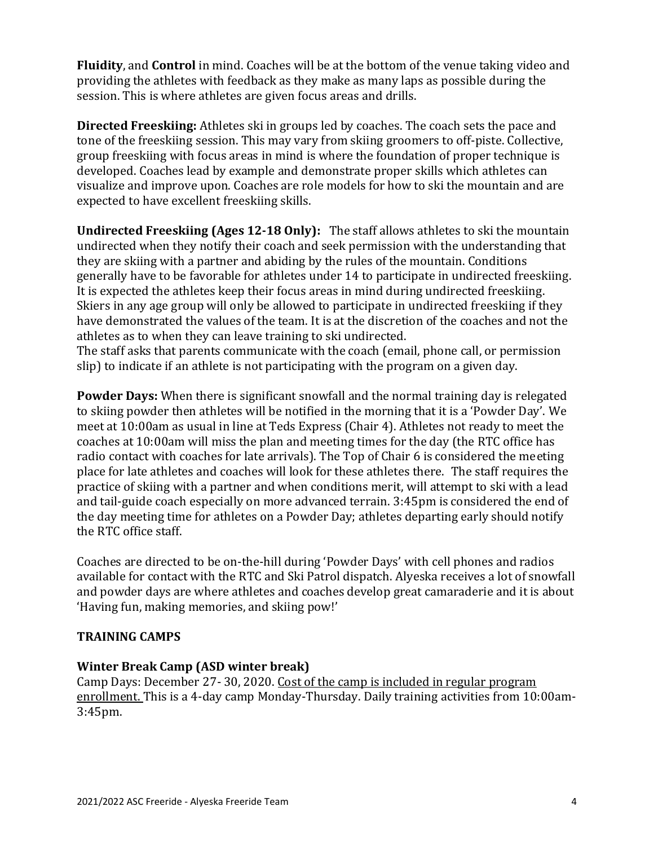**Fluidity**, and **Control** in mind. Coaches will be at the bottom of the venue taking video and providing the athletes with feedback as they make as many laps as possible during the session. This is where athletes are given focus areas and drills.

**Directed Freeskiing:** Athletes ski in groups led by coaches. The coach sets the pace and tone of the freeskiing session. This may vary from skiing groomers to off-piste. Collective, group freeskiing with focus areas in mind is where the foundation of proper technique is developed. Coaches lead by example and demonstrate proper skills which athletes can visualize and improve upon. Coaches are role models for how to ski the mountain and are expected to have excellent freeskiing skills.

**Undirected Freeskiing (Ages 12-18 Only):** The staff allows athletes to ski the mountain undirected when they notify their coach and seek permission with the understanding that they are skiing with a partner and abiding by the rules of the mountain. Conditions generally have to be favorable for athletes under 14 to participate in undirected freeskiing. It is expected the athletes keep their focus areas in mind during undirected freeskiing. Skiers in any age group will only be allowed to participate in undirected freeskiing if they have demonstrated the values of the team. It is at the discretion of the coaches and not the athletes as to when they can leave training to ski undirected.

The staff asks that parents communicate with the coach (email, phone call, or permission slip) to indicate if an athlete is not participating with the program on a given day.

**Powder Days:** When there is significant snowfall and the normal training day is relegated to skiing powder then athletes will be notified in the morning that it is a 'Powder Day'. We meet at 10:00am as usual in line at Teds Express (Chair 4). Athletes not ready to meet the coaches at 10:00am will miss the plan and meeting times for the day (the RTC office has radio contact with coaches for late arrivals). The Top of Chair 6 is considered the meeting place for late athletes and coaches will look for these athletes there. The staff requires the practice of skiing with a partner and when conditions merit, will attempt to ski with a lead and tail-guide coach especially on more advanced terrain. 3:45pm is considered the end of the day meeting time for athletes on a Powder Day; athletes departing early should notify the RTC office staff.

Coaches are directed to be on-the-hill during 'Powder Days' with cell phones and radios available for contact with the RTC and Ski Patrol dispatch. Alyeska receives a lot of snowfall and powder days are where athletes and coaches develop great camaraderie and it is about 'Having fun, making memories, and skiing pow!'

#### **TRAINING CAMPS**

#### **Winter Break Camp (ASD winter break)**

Camp Days: December 27- 30, 2020. Cost of the camp is included in regular program enrollment. This is a 4-day camp Monday-Thursday. Daily training activities from 10:00am-3:45pm.